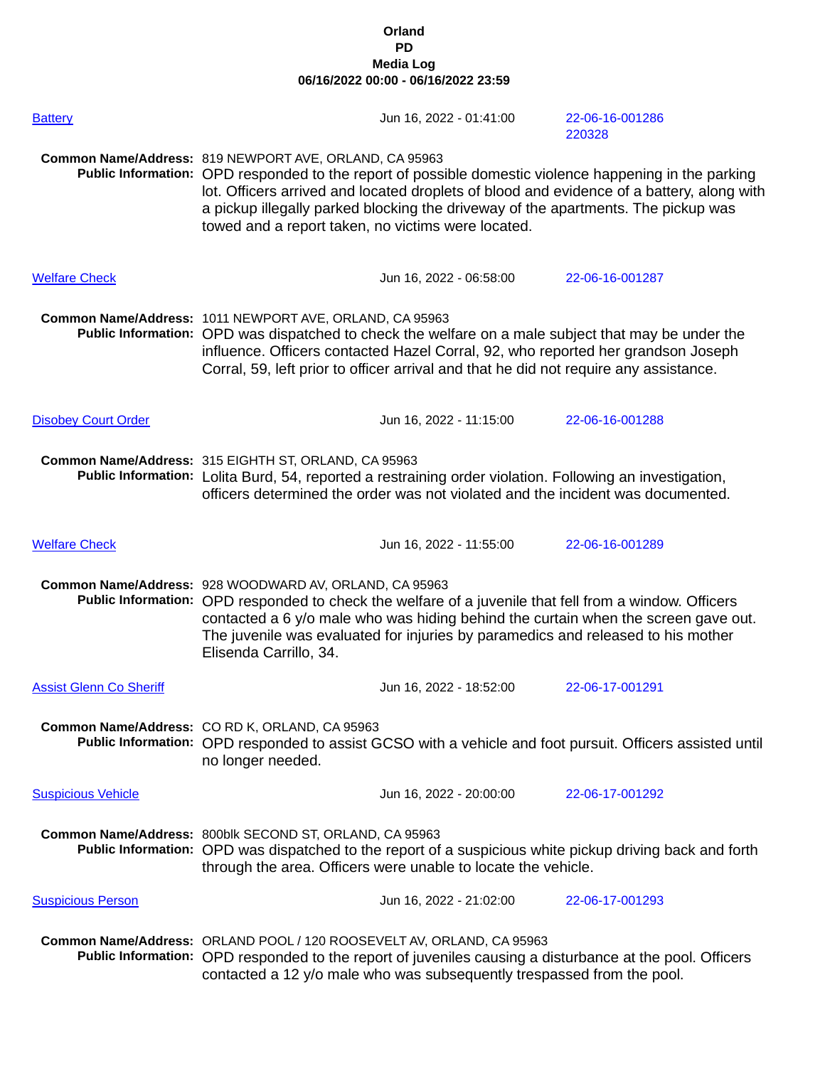## **Orland PD Media Log 06/16/2022 00:00 - 06/16/2022 23:59**

| <b>Battery</b>                 | Jun 16, 2022 - 01:41:00                                                                                                                                                                                                                                                                                                                                                                                  |  | 22-06-16-001286<br>220328 |
|--------------------------------|----------------------------------------------------------------------------------------------------------------------------------------------------------------------------------------------------------------------------------------------------------------------------------------------------------------------------------------------------------------------------------------------------------|--|---------------------------|
|                                | Common Name/Address: 819 NEWPORT AVE, ORLAND, CA 95963<br>Public Information: OPD responded to the report of possible domestic violence happening in the parking<br>lot. Officers arrived and located droplets of blood and evidence of a battery, along with<br>a pickup illegally parked blocking the driveway of the apartments. The pickup was<br>towed and a report taken, no victims were located. |  |                           |
| <b>Welfare Check</b>           | Jun 16, 2022 - 06:58:00                                                                                                                                                                                                                                                                                                                                                                                  |  | 22-06-16-001287           |
|                                | Common Name/Address: 1011 NEWPORT AVE, ORLAND, CA 95963<br>Public Information: OPD was dispatched to check the welfare on a male subject that may be under the<br>influence. Officers contacted Hazel Corral, 92, who reported her grandson Joseph<br>Corral, 59, left prior to officer arrival and that he did not require any assistance.                                                              |  |                           |
| <b>Disobey Court Order</b>     | Jun 16, 2022 - 11:15:00                                                                                                                                                                                                                                                                                                                                                                                  |  | 22-06-16-001288           |
|                                | Common Name/Address: 315 EIGHTH ST, ORLAND, CA 95963<br>Public Information: Lolita Burd, 54, reported a restraining order violation. Following an investigation,<br>officers determined the order was not violated and the incident was documented.                                                                                                                                                      |  |                           |
| <b>Welfare Check</b>           | Jun 16, 2022 - 11:55:00                                                                                                                                                                                                                                                                                                                                                                                  |  | 22-06-16-001289           |
|                                | Common Name/Address: 928 WOODWARD AV, ORLAND, CA 95963<br>Public Information: OPD responded to check the welfare of a juvenile that fell from a window. Officers<br>contacted a 6 y/o male who was hiding behind the curtain when the screen gave out.<br>The juvenile was evaluated for injuries by paramedics and released to his mother<br>Elisenda Carrillo, 34.                                     |  |                           |
| <b>Assist Glenn Co Sheriff</b> | Jun 16, 2022 - 18:52:00                                                                                                                                                                                                                                                                                                                                                                                  |  | 22-06-17-001291           |
|                                | Common Name/Address: CO RD K, ORLAND, CA 95963<br>Public Information: OPD responded to assist GCSO with a vehicle and foot pursuit. Officers assisted until<br>no longer needed.                                                                                                                                                                                                                         |  |                           |
| <b>Suspicious Vehicle</b>      | Jun 16, 2022 - 20:00:00                                                                                                                                                                                                                                                                                                                                                                                  |  | 22-06-17-001292           |
|                                | Common Name/Address: 800blk SECOND ST, ORLAND, CA 95963<br>Public Information: OPD was dispatched to the report of a suspicious white pickup driving back and forth<br>through the area. Officers were unable to locate the vehicle.                                                                                                                                                                     |  |                           |
| <b>Suspicious Person</b>       | Jun 16, 2022 - 21:02:00                                                                                                                                                                                                                                                                                                                                                                                  |  | 22-06-17-001293           |
|                                | Common Name/Address: ORLAND POOL / 120 ROOSEVELT AV, ORLAND, CA 95963<br>Public Information: OPD responded to the report of juveniles causing a disturbance at the pool. Officers<br>contacted a 12 y/o male who was subsequently trespassed from the pool.                                                                                                                                              |  |                           |